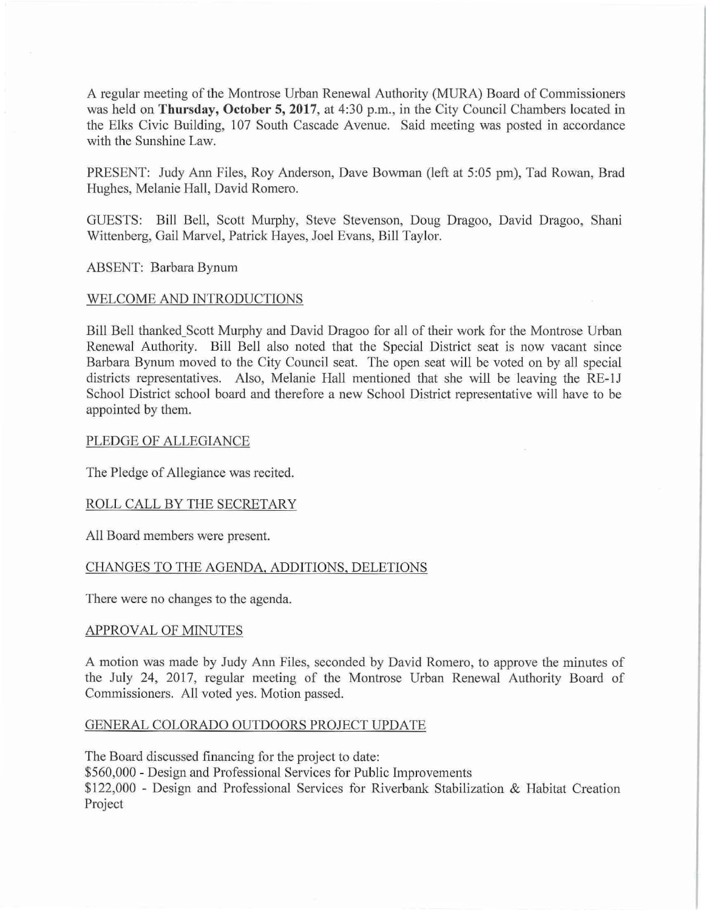A regular meeting of the Montrose Urban Renewal Authority (MURA) Board of Commissioners was held on **Thursday, October 5, 2017**, at 4:30 p.m., in the City Council Chambers located in the Elks Civic Building, 107 South Cascade A venue. Said meeting was posted in accordance with the Sunshine Law.

PRESENT: Judy Ann Files, Roy Anderson, Dave Bowman (left at 5:05 pm), Tad Rowan, Brad Hughes, Melanie Hall, David Romero.

GUESTS: Bill Bell, Scott Murphy, Steve Stevenson, Doug Dragoo, David Dragoo, Shani Wittenberg, Gail Marvel, Patrick Hayes, Joel Evans, Bill Taylor.

ABSENT: Barbara Bynum

# WELCOME AND INTRODUCTIONS

Bill Bell thanked\_Scott Murphy and David Dragoo for all of their work for the Montrose Urban Renewal Authority. Bill Bell also noted that the Special District seat is now vacant since Barbara Bynum moved to the City Council seat. The open seat will be voted on by all special districts representatives. Also, Melanie Hall mentioned that she will be leaving the RE-1J School District school board and therefore a new School District representative will have to be appointed by them.

### PLEDGE OF ALLEGIANCE

The Pledge of Allegiance was recited.

## ROLL CALL BY THE SECRETARY

All Board members were present.

## CHANGES TO THE AGENDA, ADDITIONS, DELETIONS

There were no changes to the agenda.

#### APPROVAL OF MINUTES

A motion was made by Judy Ann Files, seconded by David Romero, to approve the minutes of the July 24, 2017, regular meeting of the Montrose Urban Renewal Authority Board of Commissioners. All voted yes. Motion passed.

## GENERAL COLORADO OUTDOORS PROJECT UPDATE

The Board discussed financing for the project to date: \$560,000 - Design and Professional Services for Public Improvements \$122,000 - Design and Professional Services for Riverbank Stabilization & Habitat Creation Project